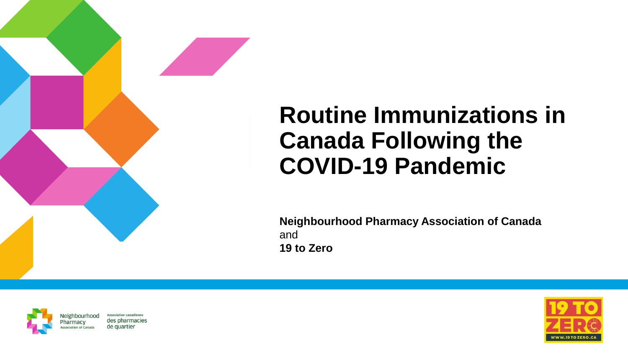## **Routine Immunizations in Canada Following the COVID-19 Pandemic**

**Neighbourhood Pharmacy Association of Canada**  and **19 to Zero**



**Association canadienne** Neighbourhood des pharmacies de quartier tion of Canad

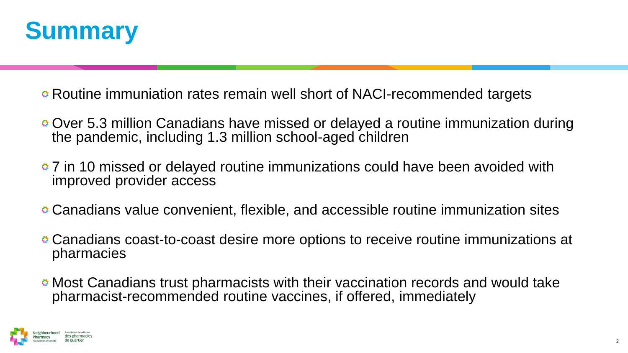

**■ Routine immuniation rates remain well short of NACI-recommended targets** 

- Over 5.3 million Canadians have missed or delayed a routine immunization during the pandemic, including 1.3 million school-aged children
- **27** in 10 missed or delayed routine immunizations could have been avoided with improved provider access
- Canadians value convenient, flexible, and accessible routine immunization sites
- Canadians coast-to-coast desire more options to receive routine immunizations at pharmacies
- Most Canadians trust pharmacists with their vaccination records and would take pharmacist-recommended routine vaccines, if offered, immediately

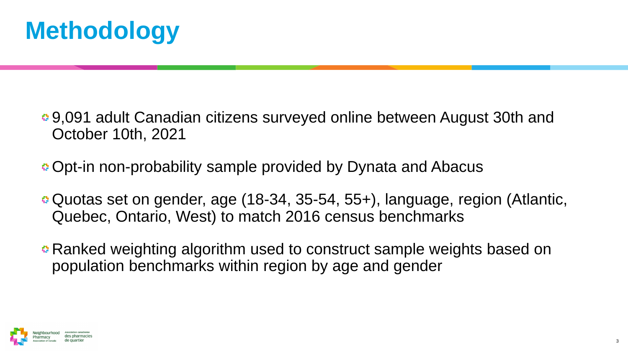

- 9,091 adult Canadian citizens surveyed online between August 30th and October 10th, 2021
- Opt-in non-probability sample provided by Dynata and Abacus
- Quotas set on gender, age (18-34, 35-54, 55+), language, region (Atlantic, Quebec, Ontario, West) to match 2016 census benchmarks
- Ranked weighting algorithm used to construct sample weights based on population benchmarks within region by age and gender

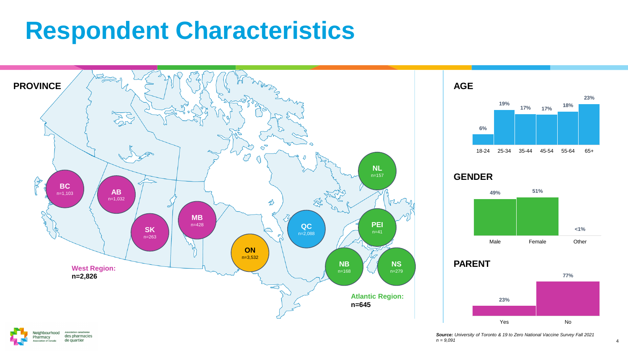## **Respondent Characteristics**





*Source: University of Toronto & 19 to Zero National Vaccine Survey Fall 2021 n = 9,091*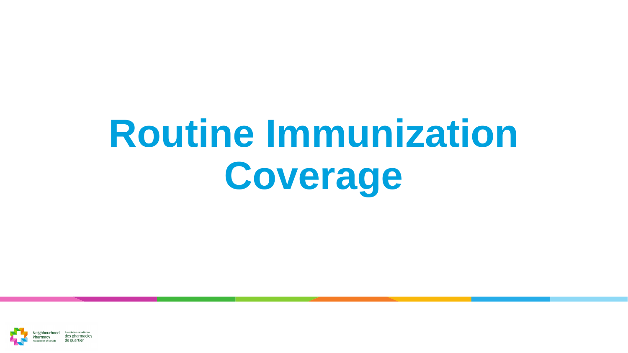# **Routine Immunization Coverage**

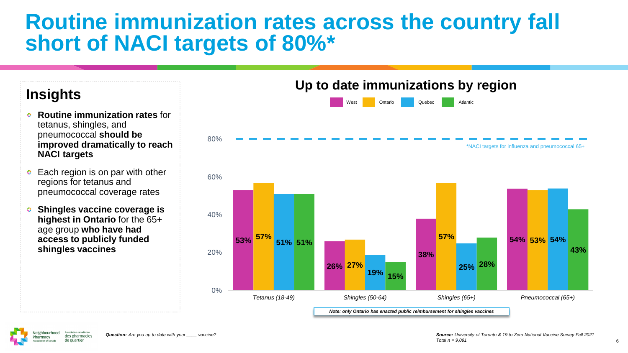## **Routine immunization rates across the country fall short of NACI targets of 80%\***

#### **Insights**

- **Routine immunization rates** for  $\bullet$ tetanus, shingles, and pneumococcal **should be improved dramatically to reach NACI targets**
- Each region is on par with other  $\bullet$ regions for tetanus and pneumococcal coverage rates
- **Shingles vaccine coverage is**  O. **highest in Ontario** for the 65+ age group **who have had access to publicly funded shingles vaccines**



**Up to date immunizations by region**

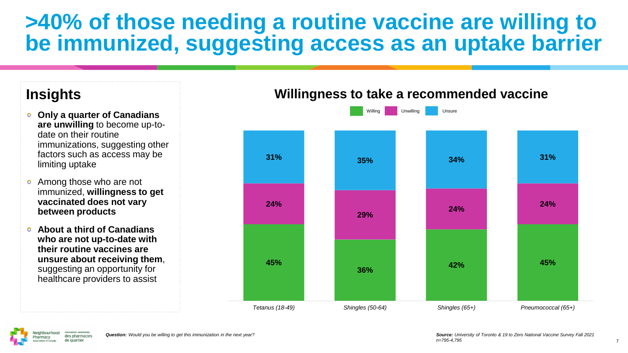## **>40% of those needing a routine vaccine are willing to be immunized, suggesting access as an uptake barrier**

#### **Insights**

- **Only a quarter of Canadians are unwilling** to become up-todate on their routine immunizations, suggesting other factors such as access may be limiting uptake
- Among those who are not  $\bullet$ immunized, **willingness to get vaccinated does not vary between products**
- **About a third of Canadians who are not up-to-date with their routine vaccines are unsure about receiving them**, suggesting an opportunity for healthcare providers to assist

#### **Willingness to take a recommended vaccine**



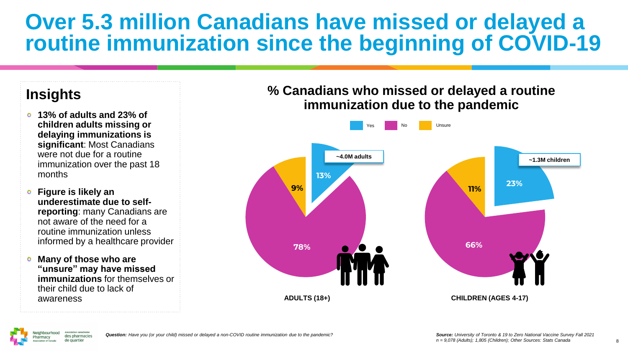## **Over 5.3 million Canadians have missed or delayed a routine immunization since the beginning of COVID-19**

#### **Insights**

- **13% of adults and 23% of children adults missing or delaying immunizations is significant**: Most Canadians were not due for a routine immunization over the past 18 months
- **Figure is likely an underestimate due to selfreporting**: many Canadians are not aware of the need for a routine immunization unless informed by a healthcare provider
- **Many of those who are "unsure" may have missed immunizations** for themselves or their child due to lack of awareness **ADULTS (18+)**

#### **% Canadians who missed or delayed a routine immunization due to the pandemic**



*Question: Have you (or your child) missed or delayed a non-COVID routine immunization due to the pandemic?*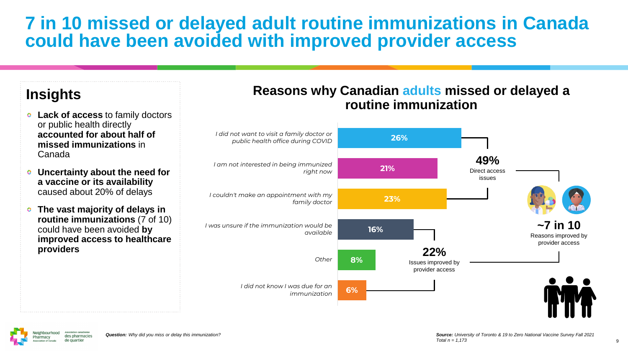### **7 in 10 missed or delayed adult routine immunizations in Canada could have been avoided with improved provider access**

#### **Insights**

- **Lack of access** to family doctors or public health directly **accounted for about half of missed immunizations** in Canada
- **Uncertainty about the need for**   $\mathbf{Q}$ **a vaccine or its availability**  caused about 20% of delays
- **The vast majority of delays in routine immunizations** (7 of 10) could have been avoided **by improved access to healthcare providers**

#### **Reasons why Canadian adults missed or delayed a routine immunization**

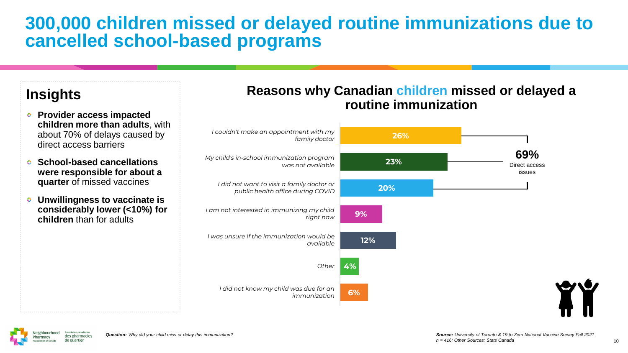### **300,000 children missed or delayed routine immunizations due to cancelled school-based programs**

#### **Insights**

- **Provider access impacted children more than adults**, with about 70% of delays caused by direct access barriers
- **School-based cancellations were responsible for about a quarter** of missed vaccines
- **Unwillingness to vaccinate is Q considerably lower (<10%) for children** than for adults

#### **Reasons why Canadian children missed or delayed a routine immunization**



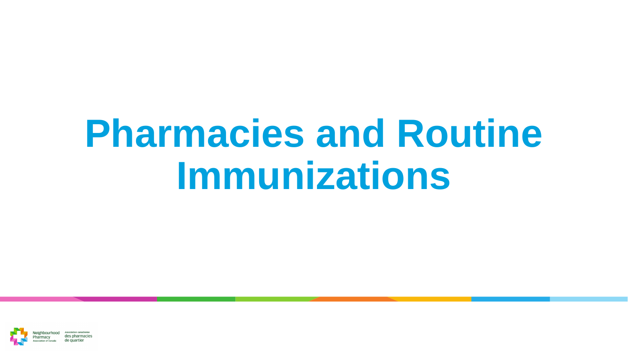## **Pharmacies and Routine Immunizations**

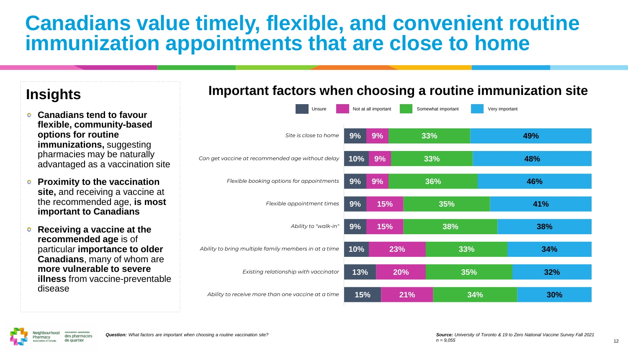## **Canadians value timely, flexible, and convenient routine immunization appointments that are close to home**

- **Canadians tend to favour flexible, community-based options for routine immunizations,** suggesting pharmacies may be naturally advantaged as a vaccination site
- **Proximity to the vaccination**   $\mathbf{Q}$ **site,** and receiving a vaccine at the recommended age, **is most important to Canadians**
- **Receiving a vaccine at the**  ۰ **recommended age** is of particular **importance to older Canadians**, many of whom are **more vulnerable to severe illness** from vaccine-preventable disease

#### **Important factors when choosing a routine immunization site Insights**



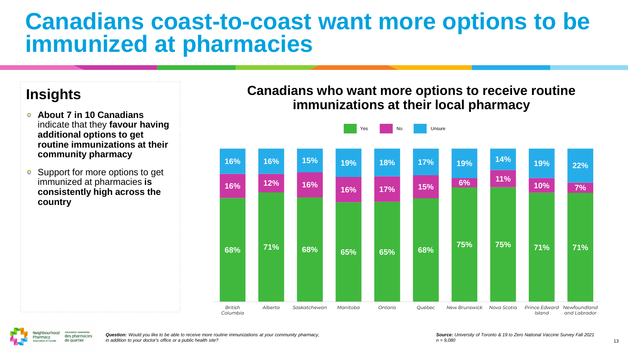## **Canadians coast-to-coast want more options to be immunized at pharmacies**

#### **Insights**

- **About 7 in 10 Canadians**  indicate that they **favour having additional options to get routine immunizations at their community pharmacy**
- Support for more options to get ۰ immunized at pharmacies **is consistently high across the country**

#### **Canadians who want more options to receive routine immunizations at their local pharmacy**



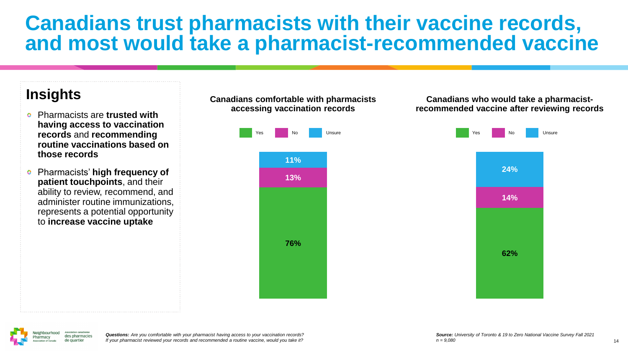### **Canadians trust pharmacists with their vaccine records, and most would take a pharmacist-recommended vaccine**

#### **Insights**

- Pharmacists are **trusted with having access to vaccination records** and **recommending routine vaccinations based on those records**
- Pharmacists' **high frequency of**   $\bullet$ **patient touchpoints**, and their ability to review, recommend, and administer routine immunizations, represents a potential opportunity to **increase vaccine uptake**

**accessing vaccination records** Unsure **76% 13% 11%**

**Canadians comfortable with pharmacists** 

#### **Canadians who would take a pharmacistrecommended vaccine after reviewing records**



*Questions: Are you comfortable with your pharmacist having access to your vaccination records? If your pharmacist reviewed your records and recommended a routine vaccine, would you take it?*